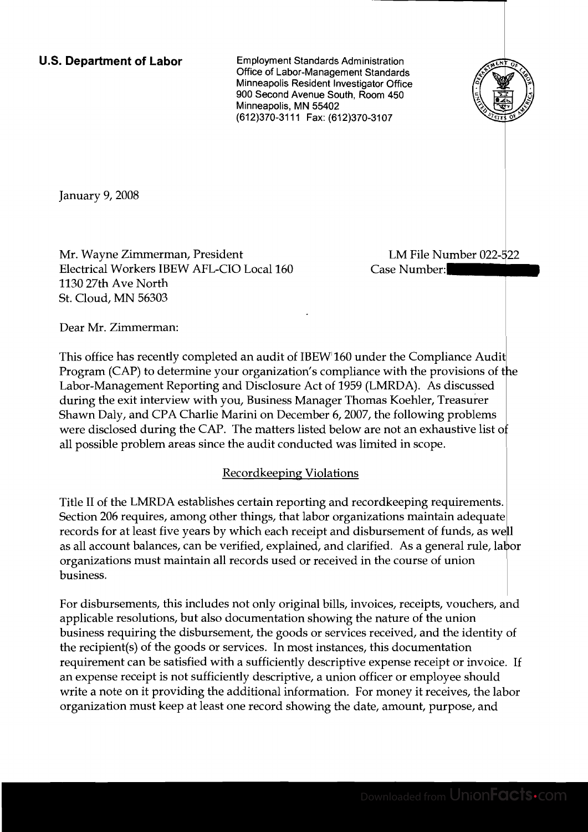**U.S. Department of Labor** Employment Standards Administration Office of Labor-Management Standards Minneapolis Resident Investigator Office 900 Second Avenue South, Room 450 Minneapolis, MN 55402 (612) 370-3111 Fax: (612) 370-3107



January 9, 2008

Mr. Wayne Zimmerman, President Electrical Workers IBEW AFL-CIO Local 160 Case Number: 1130 27th Ave North St. Cloud, MN 56303

LM File Number 022-522

Dear Mr. Zimmerman:

This office has recently completed an audit of IBEW 160 under the Compliance Audit Program (CAP) to determine your organization's compliance with the provisions of the Labor-Management Reporting and Disclosure Act of 1959 (LMRDA). As discussed during the exit interview with you, Business Manager Thomas Koehler, Treasurer Shawn Daly, and CPA Charlie Marini on December 6, 2007, the following problems were disclosed during the CAP. The matters listed below are not an exhaustive list of all possible problem areas since the audit conducted was limited in scope.

### Recordkeeping Violations <sup>~</sup>

Title II of the LMRDA establishes certain reporting and recordkeeping requirements. Section 206 requires, among other things, that labor organizations maintain adequate records for at least five years by which each receipt and disbursement of funds, as well as all account balances, can be verified, explained, and clarified. As a organizations must maintain all records used or received in the business.

For disbursements, this includes not only original bills, invoices, receipts, vouchers, and applicable resolutions, but also documentation showing the nature of the union business requiring the disbursement, the goods or services received, and the identity of the recipient(s) of the goods or services. In most instances, this documentation requirement can be satisfied with a sufficiently descriptive expense receipt or invoice. If an expense receipt is not sufficiently descriptive, a union officer or employee should write a note on it providing the additional information. For money it receives, the labor organization must keep at least one record showing the date, amount, purpose, and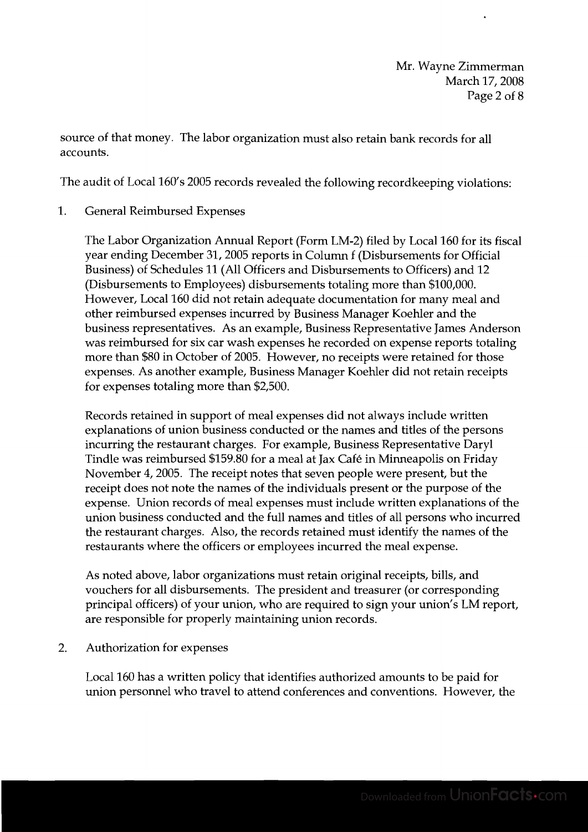source of that money. The labor organization must also retain bank records for all accounts.

The audit of Local 160's 2005 records revealed the following recordkeeping violations:

1. General Reimbursed Expenses

The Labor Organization Annual Report (Form LM-2) filed by Local 160 for its fiscal year ending December 31,2005 reports in Column f (Disbursements for Official Business) of Schedules 11 (All Officers and Disbursements to Officers) and 12 (Disbursements to Employees) disbursements totaling more than \$100,000. However, Local 160 did not retain adequate documentation for many meal and other reimbursed expenses incurred by Business Manager Koehler and the business representatives. As an example, Business Representative James Anderson was reimbursed for six car wash expenses he recorded on expense reports totaling more than \$80 in October of 2005. However, no receipts were retained for those expenses. As another example, Business Manager Koehler did not retain receipts for expenses totaling more than \$2,500.

Records retained in support of meal expenses did not always include written explanations of union business conducted or the names and titles of the persons incurring the restaurant charges. For example, Business Representative Daryl Tindle was reimbursed \$159.80 for a meal at Jax Cafe in Minneapolis on Friday November 4,2005. The receipt notes that seven people were present, but the receipt does not note the names of the individuals present or the purpose of the expense. Union records of meal expenses must include written explanations of the union business conducted and the full names and titles of all persons who incurred the restaurant charges. Also, the records retained must identify the names of the restaurants where the officers or employees incurred the meal expense.

As noted above, labor organizations must retain original receipts, bills, and vouchers for all disbursements. The president and treasurer (or corresponding principal officers) of your union, who are required to sign your union's LM report, are responsible for properly maintaining union records.

2. Authorization for expenses

Local 160 has a written policy that identifies authorized amounts to be paid for union personnel who travel to attend conferences and conventions. However, the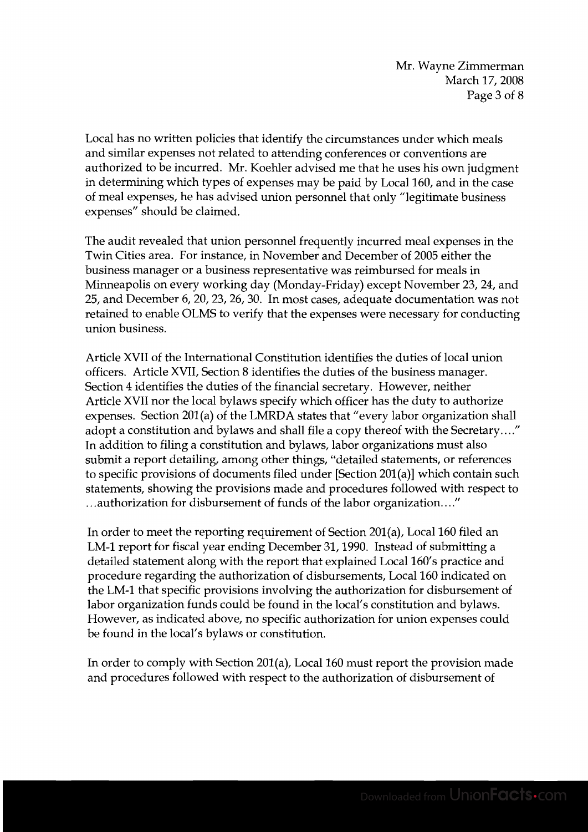Local has no written policies that identify the circumstances under which meals and similar expenses not related to attending conferences or conventions are authorized to be incurred. Mr. Koehler advised me that he uses his own judgment in determining which types of expenses may be paid by Local 160, and in the case of meal expenses, he has advised union personnel that only "legitimate business expenses" should be claimed.

The audit revealed that union personnel frequently incurred meal expenses in the Twin Cities area. For instance, in November and December of 2005 either the business manager or a business representative was reimbursed for meals in Minneapolis on every working day (Monday-Friday) except November 23,24, and 25, and December 6,20,23,26,30. In most cases, adequate documentation was not retained to enable OLMS to verify that the expenses were necessary for conducting union business.

Article XVII of the International Constitution identifies the duties of local union officers. Article XVII, Section 8 identifies the duties of the business manager. Section 4 identifies the duties of the financial secretary. However, neither Article XVII nor the local bylaws specify which officer has the duty to authorize expenses. Section 201(a) of the LMRDA states that "every labor organization shall adopt a constitution and bylaws and shall file a copy thereof with the Secretary...." In addition to filing a constitution and bylaws, labor organizations must also submit a report detailing, among other things, "detailed statements, or references to specific provisions of documents filed under [Section 201(a)] which contain such statements, showing the provisions made and procedures followed with respect to ...authorization for disbursement of funds of the labor organization...."

In order to meet the reporting requirement of Section 201(a), Local 160 filed an LM-1 report for fiscal year ending December 31,1990. Instead of submitting a detailed statement along with the report that explained Local 160's practice and procedure regarding the authorization of disbursements, Local 160 indicated on the LM-1 that specific provisions involving the authorization for disbursement of labor organization funds could be found in the local's constitution and bylaws. However, as indicated above, no specific authorization for union expenses could be found in the local's bylaws or constitution.

In order to comply with Section 201(a), Local 160 must report the provision made and procedures followed with respect to the authorization of disbursement of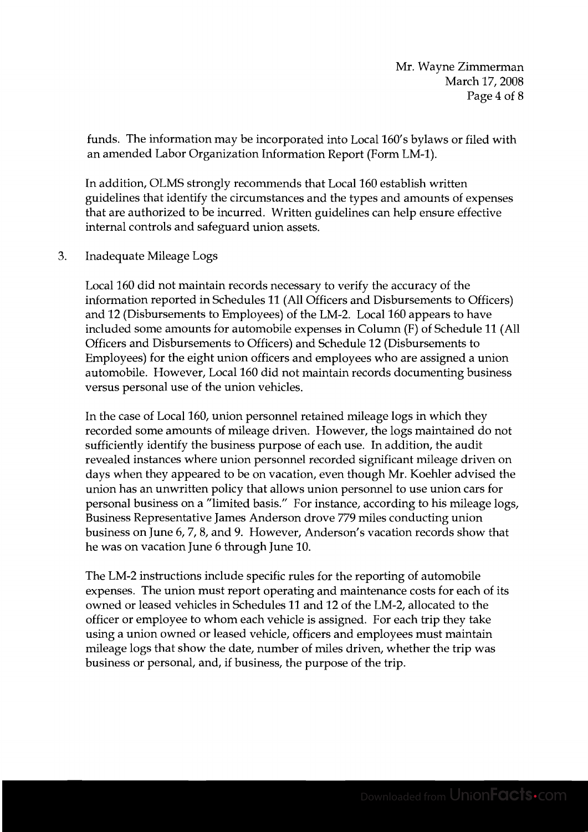funds. The information may be incorporated into Local 160's bylaws or filed with an amended Labor Organization Information Report (Form LM-1).

In addition, OLMS strongly recommends that Local 160 establish written guidelines that identify the circumstances and the types and amounts of expenses that are authorized to be incurred. Written guidelines can help ensure effective internal controls and safeguard union assets.

**3.** Inadequate Mileage Logs

Local 160 did not maintain records necessary to verify the accuracy of the information reported in Schedules 11 (All Officers and Disbursements to Officers) and 12 (Disbursements to Employees) of the LM-2. Local 160 appears to have included some amounts for automobile expenses in Column (F) of Schedule 11 (All Officers and Disbursements to Officers) and Schedule 12 (Disbursements to Employees) for the eight union officers and employees who are assigned a union automobile. However, Local 160 did not maintain records documenting business versus personal use of the union vehicles.

In the case of Local 160, union personnel retained mileage logs in which they recorded some amounts of mileage driven. However, the logs maintained do not sufficiently identify the business purpose of each use. In addition, the audit revealed instances where union personnel recorded significant mileage driven on days when they appeared to be on vacation, even though Mr. Koehler advised the union has an unwritten policy that allows union personnel to use union cars for personal business on a "limited basis." For instance, according to his mileage logs, Business Representative James Anderson drove 779 miles conducting union business on June 6,7,8, and 9. However, Anderson's vacation records show that he was on vacation June 6 through June 10.

The LM-2 instructions include specific rules for the reporting of automobile expenses. The union must report operating and maintenance costs for each of its owned or leased vehicles in Schedules 11 and 12 of the LM-2, allocated to the officer or employee to whom each vehicle is assigned. For each trip they take using a union owned or leased vehicle, officers and employees must maintain mileage logs that show the date, number of miles driven, whether the trip was business or personal, and, if business, the purpose of the trip.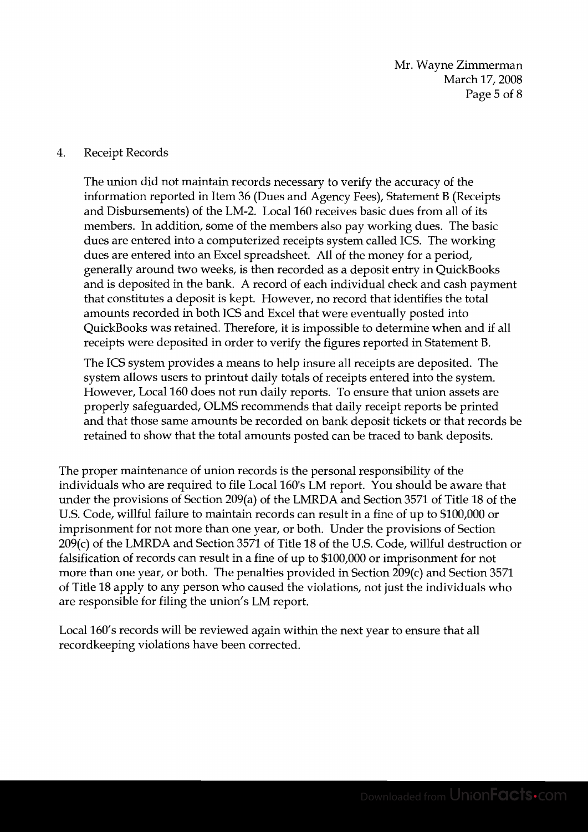Mr. Wayne Zimmerman March 17, 2008 Page 5 of 8

#### 4. Receipt Records

The union did not maintain records necessary to verify the accuracy of the information reported in Item 36 (Dues and Agency Fees), Statement B (Receipts and Disbursements) of the LM-2. Local 160 receives basic dues from all of its members. In addition, some of the members also pay working dues. The basic dues are entered into a computerized receipts system called ICS. The working dues are entered into an Excel spreadsheet. All of the money for a period, generally around two weeks, is then recorded as a deposit entry in QuickBooks and is deposited in the bank. A record of each individual check and cash payment that constitutes a deposit is kept. However, no record that identifies the total amounts recorded in both ICS and Excel that were eventually posted into QuickBooks was retained. Therefore, it is impossible to determine when and if all receipts were deposited in order to verify the figures reported in Statement B.

The ICS system provides a means to help insure all receipts are deposited. The system allows users to printout daily totals of receipts entered into the system. However, Local 160 does not run daily reports. To ensure that union assets are properly safeguarded, OLMS recommends that daily receipt reports be printed and that those same amounts be recorded on bank deposit tickets or that records be retained to show that the total amounts posted can be traced to bank deposits.

The proper maintenance of union records is the personal responsibility of the individuals who are required to file Local 160's LM report. You should be aware that under the provisions of Section 209(a) of the LMRDA and Section 3571 of Title 18 of the U.S. Code, willful failure to maintain records can result in a fine of up to \$100,000 or imprisonment for not more than one year, or both. Under the provisions of Section 209(c) of the LMRDA and Section 3571 of Title 18 of the U.S. Code, willful destruction or falsification of records can result in a fine of up to \$100,000 or imprisonment for not more than one year, or both. The penalties provided in Section 209(c) and Section 3571 of Title 18 apply to any person who caused the violations, not just the individuals who are responsible for filing the union's LM report.

Local 160's records will be reviewed again within the next year to ensure that all recordkeeping violations have been corrected.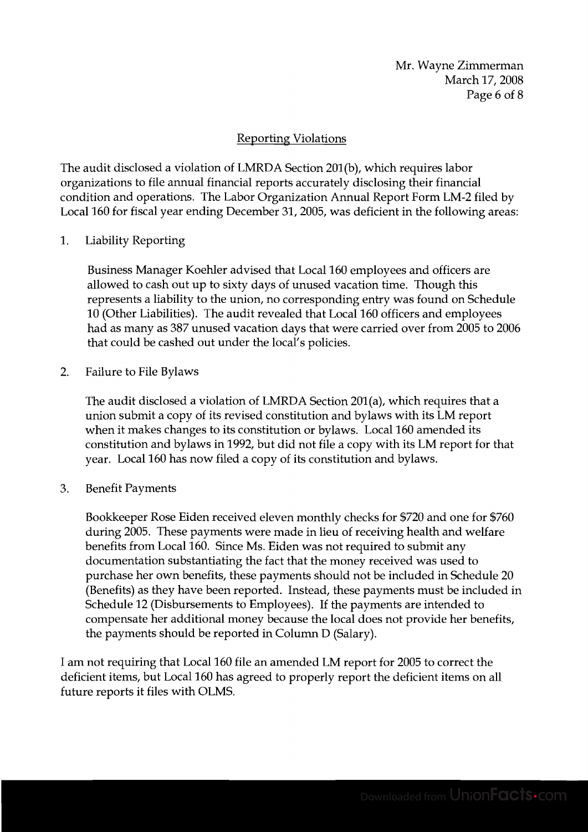## Reporting Violations

The audit disclosed a violation of LMRDA Section 201(b), which requires labor organizations to file annual financial reports accurately disclosing their financial condition and operations. The Labor Organization Annual Report Form LM-2 filed by Local 160 for fiscal year ending December 31, 2005, was deficient in the following areas:

1. Liability Reporting

Business Manager Koehler advised that Local 160 employees and officers are allowed to cash out up to sixty days of unused vacation time. Though this represents a liability to the union, no corresponding entry was found on Schedule 10 (Other Liabilities). The audit revealed that Local 160 officers and employees had as many as 387 unused vacation days that were carried over from 2005 to 2006 that could be cashed out under the local's policies.

2. Failure to File Bylaws

The audit disclosed a violation of LMRDA Section 201(a), which requires that a union submit a copy of its revised constitution and bylaws with its LM report when it makes changes to its constitution or bylaws. Local 160 amended its constitution and bylaws in 1992, but did not file a copy with its LM report for that year. Local 160 has now filed a copy of its constitution and bylaws.

3. Benefit Payments

Bookkeeper Rose Eiden received eleven monthly checks for \$720 and one for \$760 during 2005. These payments were made in lieu of receiving health and welfare benefits from Local 160. Since Ms. Eiden was not required to submit any documentation substantiating the fact that the money received was used to purchase her own benefits, these payments should not be included in Schedule 20 (Benefits) as they have been reported. Instead, these payments must be included in Schedule 12 (Disbursements to Employees). If the payments are intended to compensate her additional money because the local does not provide her benefits, the payments should be reported in Column D (Salary).

I am not requiring that Local 160 file an amended LM report for 2005 to correct the deficient items, but Local 160 has agreed to properly report the deficient items on all future reports it files with OLMS.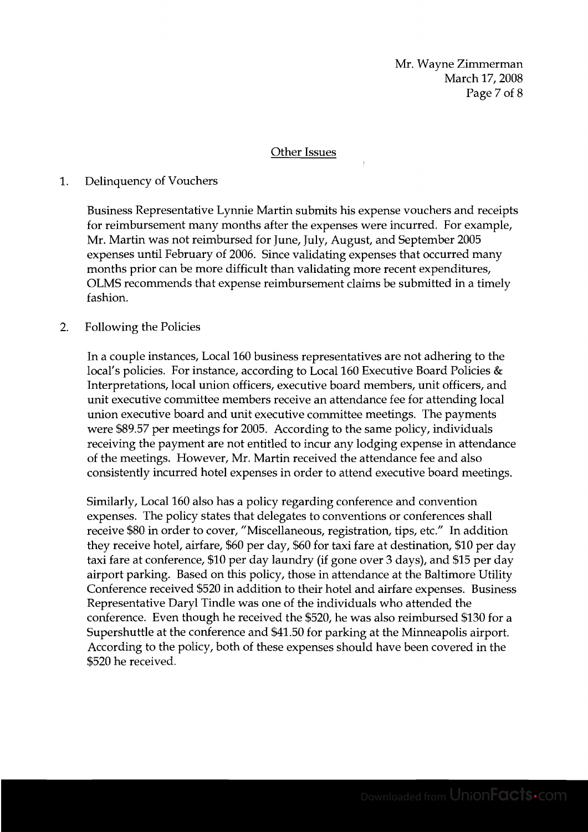#### Other Issues

#### 1. Delinquency of Vouchers

Business Representative Lynnie Martin submits his expense vouchers and receipts for reimbursement many months after the expenses were incurred. For example, Mr. Martin was not reimbursed for June, July, August, and September 2005 expenses until February of 2006. Since validating expenses that occurred many months prior can be more difficult than validating more recent expenditures, OLMS recommends that expense reimbursement claims be submitted in a timely fashion.

#### 2. Following the Policies

In a couple instances, Local 160 business representatives are not adhering to the local's policies. For instance, according to Local 160 Executive Board Policies & Interpretations, local union officers, executive board members, unit officers, and unit executive committee members receive an attendance fee for attending local union executive board and unit executive committee meetings. The payments were \$89.57 per meetings for 2005. According to the same policy, individuals receiving the payment are not entitled to incur any lodging expense in attendance of the meetings. However, Mr. Martin received the attendance fee and also consistently incurred hotel expenses in order to attend executive board meetings.

Similarly, Local 160 also has a policy regarding conference and convention expenses. The policy states that delegates to conventions or conferences shall receive \$80 in order to cover, "Miscellaneous, registration, tips, etc." In addition they receive hotel, airfare, \$60 per day, \$60 for taxi fare at destination, \$10 per day taxi fare at conference, \$10 per day laundry (if gone over 3 days), and \$15 per day airport parking. Based on this policy, those in attendance at the Baltimore Utility Conference received \$520 in addition to their hotel and airfare expenses. Business Representative Daryl Tindle was one of the individuals who attended the conference. Even though he received the \$520, he was also reimbursed \$130 for a Supershuttle at the conference and \$41.50 for parking at the Minneapolis airport. According to the policy, both of these expenses should have been covered in the \$520 he received.